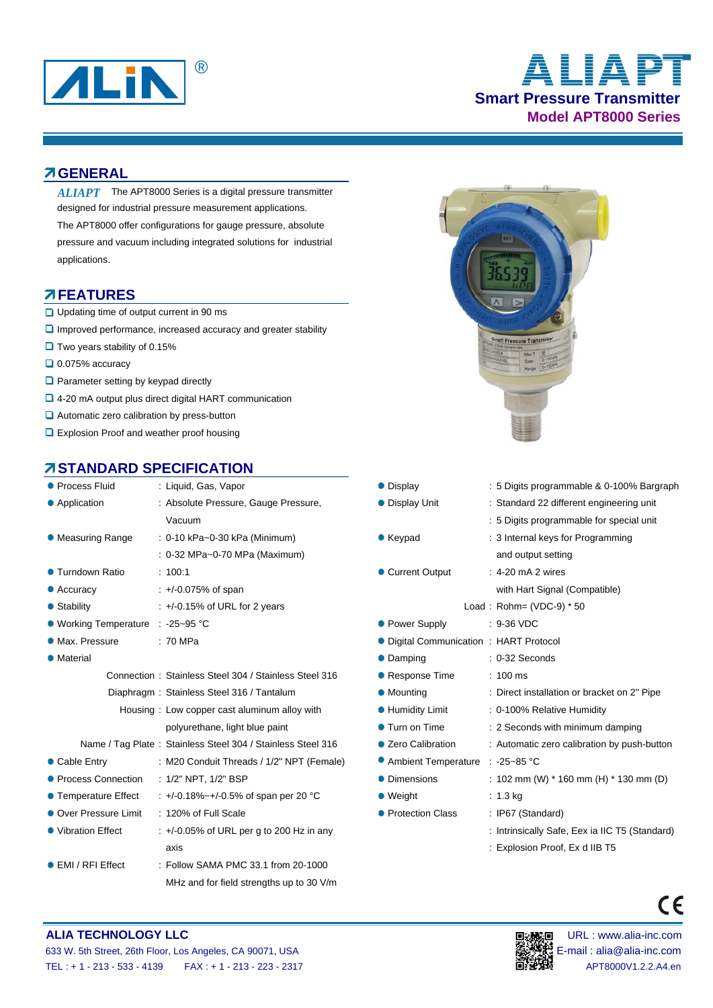

# **Smart Pressure Transmitter Model APT8000 Series ALIAPT** ®

#### **GENERAL**

ALIAPT The APT8000 Series is a digital pressure transmitter designed for industrial pressure measurement applications. The APT8000 offer configurations for gauge pressure, absolute pressure and vacuum including integrated solutions for industrial applications.

#### **FEATURES**

- **□** Updating time of output current in 90 ms
- $\Box$  Improved performance, increased accuracy and greater stability
- $\Box$  Two years stability of 0.15%
- $\Box$  0.075% accuracy
- **Q** Parameter setting by keypad directly
- 4-20 mA output plus direct digital HART communication
- **■** Automatic zero calibration by press-button
- **Q** Explosion Proof and weather proof housing

#### **STANDARD SPECIFICATION**

| • Process Fluid                   | : Liquid, Gas, Vapor                                        | • Display                               | : 5 Digits programmable & 0-100% Bargra      |
|-----------------------------------|-------------------------------------------------------------|-----------------------------------------|----------------------------------------------|
| • Application                     | : Absolute Pressure, Gauge Pressure,                        | • Display Unit                          | : Standard 22 different engineering unit     |
|                                   | Vacuum                                                      |                                         | : 5 Digits programmable for special unit     |
| • Measuring Range                 | : 0-10 kPa~0-30 kPa (Minimum)                               | • Keypad                                | : 3 Internal keys for Programming            |
|                                   | : 0-32 MPa~0-70 MPa (Maximum)                               |                                         | and output setting                           |
| <b>• Turndown Ratio</b>           | : 100:1                                                     | Current Output                          | : 4-20 mA 2 wires                            |
| • Accuracy                        | $: +/0.075%$ of span                                        |                                         | with Hart Signal (Compatible)                |
| • Stability                       | $\div$ +/-0.15% of URL for 2 years                          |                                         | Load: Rohm= $(VDC-9)*50$                     |
| ● Working Temperature : -25~95 °C |                                                             | • Power Supply                          | $: 9-36$ VDC                                 |
| • Max. Pressure                   | : 70 MPa                                                    | • Digital Communication : HART Protocol |                                              |
| • Material                        |                                                             | • Damping                               | $: 0-32$ Seconds                             |
|                                   | Connection: Stainless Steel 304 / Stainless Steel 316       | ● Response Time                         | $: 100 \text{ ms}$                           |
|                                   | Diaphragm: Stainless Steel 316 / Tantalum                   | • Mounting                              | : Direct installation or bracket on 2" Pipe  |
|                                   | Housing: Low copper cast aluminum alloy with                | <b>• Humidity Limit</b>                 | : 0-100% Relative Humidity                   |
|                                   | polyurethane, light blue paint                              | ● Turn on Time                          | : 2 Seconds with minimum damping             |
|                                   | Name / Tag Plate: Stainless Steel 304 / Stainless Steel 316 | • Zero Calibration                      | : Automatic zero calibration by push-butto   |
| • Cable Entry                     | : M20 Conduit Threads / 1/2" NPT (Female)                   | Ambient Temperature                     | $\therefore$ -25~85 °C                       |
| • Process Connection              | : 1/2" NPT, 1/2" BSP                                        | • Dimensions                            | : 102 mm (W) $*$ 160 mm (H) $*$ 130 mm (D)   |
| ● Temperature Effect              | : +/-0.18%~+/-0.5% of span per 20 °C                        | $\bullet$ Weight                        | $: 1.3$ kg                                   |
| ● Over Pressure Limit             | : 120% of Full Scale                                        | • Protection Class                      | : IP67 (Standard)                            |
| • Vibration Effect                | $\div$ +/-0.05% of URL per g to 200 Hz in any               |                                         | : Intrinsically Safe, Eex ia IIC T5 (Standar |
|                                   | axis                                                        |                                         | : Explosion Proof, Ex d IIB T5               |
| ● EMI / RFI Effect                | : Follow SAMA PMC 33.1 from 20-1000                         |                                         |                                              |
|                                   | MHz and for field strengths up to 30 V/m                    |                                         |                                              |



| Process Fluid                   | : Liquid, Gas, Vapor                                        | • Display                               | : 5 Digits programmable & 0-100% Bargraph      |
|---------------------------------|-------------------------------------------------------------|-----------------------------------------|------------------------------------------------|
| Application                     | : Absolute Pressure, Gauge Pressure,                        | • Display Unit                          | : Standard 22 different engineering unit       |
|                                 | Vacuum                                                      |                                         | : 5 Digits programmable for special unit       |
| Measuring Range                 | $: 0.10$ kPa~0-30 kPa (Minimum)                             | $\bullet$ Keypad                        | : 3 Internal keys for Programming              |
|                                 | $: 0-32$ MPa~0-70 MPa (Maximum)                             |                                         | and output setting                             |
| Turndown Ratio                  | : 100:1                                                     | • Current Output                        | $: 4-20 \text{ mA} 2 \text{ wires}$            |
| Accuracy                        | $: +/0.075%$ of span                                        |                                         | with Hart Signal (Compatible)                  |
| Stability                       | $\div$ +/-0.15% of URL for 2 years                          |                                         | Load: $Rohn = (VDC-9) * 50$                    |
| Working Temperature : -25~95 °C |                                                             | • Power Supply                          | $: 9-36$ VDC                                   |
| Max. Pressure                   | :70 MPa                                                     | • Digital Communication : HART Protocol |                                                |
| Material                        |                                                             | • Damping                               | $: 0-32$ Seconds                               |
|                                 | Connection: Stainless Steel 304 / Stainless Steel 316       | ● Response Time                         | $: 100 \text{ ms}$                             |
|                                 | Diaphragm: Stainless Steel 316 / Tantalum                   | • Mounting                              | : Direct installation or bracket on 2" Pipe    |
|                                 | Housing: Low copper cast aluminum alloy with                | <b>• Humidity Limit</b>                 | : 0-100% Relative Humidity                     |
|                                 | polyurethane, light blue paint                              | ● Turn on Time                          | : 2 Seconds with minimum damping               |
|                                 | Name / Tag Plate: Stainless Steel 304 / Stainless Steel 316 | • Zero Calibration                      | : Automatic zero calibration by push-button    |
| Cable Entry                     | : M20 Conduit Threads / 1/2" NPT (Female)                   | Ambient Temperature : -25~85 °C         |                                                |
| Process Connection              | $: 1/2"$ NPT, $1/2"$ BSP                                    | • Dimensions                            | : 102 mm (W) $*$ 160 mm (H) $*$ 130 mm (D)     |
| Temperature Effect              | $\pm$ +/-0.18%~+/-0.5% of span per 20 °C                    | $\bullet$ Weight                        | $: 1.3$ kg                                     |
| Over Pressure Limit             | : 120% of Full Scale                                        | • Protection Class                      | : IP67 (Standard)                              |
| Vibration Effect                | $\pm$ +/-0.05% of URL per g to 200 Hz in any                |                                         | : Intrinsically Safe, Eex ia IIC T5 (Standard) |
|                                 |                                                             |                                         |                                                |



#### **ALIA TECHNOLOGY LLC DEVICED DEVICED DEVICED DEVICED DEVICED DEVICED DEVICED DEVICED DEVICED DEVICED DEVICED** 633 W. 5th Street, 26th Floor, Los Angeles, CA 90071, USA E-mail : alia@alia-inc.com TEL : + 1 - 213 - 533 - 4139 FAX : + 1 - 213 - 223 - 2317 APT8000V1.2.2.A4.en

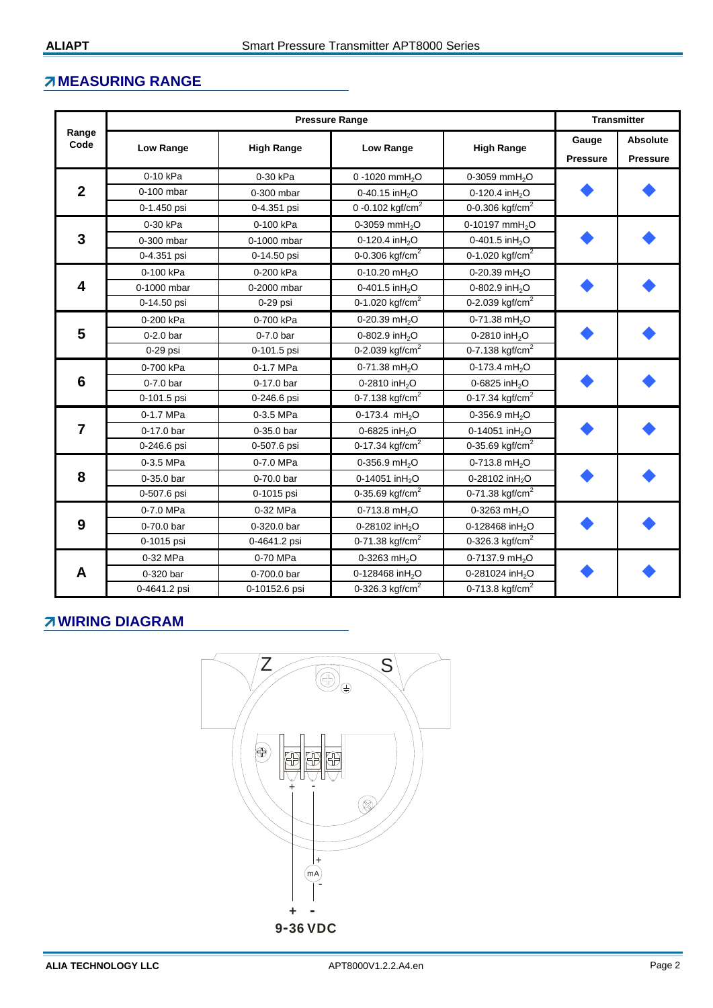#### **MEASURING RANGE**

|                 |                      | <b>Pressure Range</b> |                                                            |                              |                          |                                    |  |  |  |
|-----------------|----------------------|-----------------------|------------------------------------------------------------|------------------------------|--------------------------|------------------------------------|--|--|--|
| Range<br>Code   | <b>Low Range</b>     | <b>High Range</b>     | <b>Low Range</b>                                           | <b>High Range</b>            | Gauge<br><b>Pressure</b> | <b>Absolute</b><br><b>Pressure</b> |  |  |  |
|                 | 0-10 kPa<br>0-30 kPa |                       | 0 -1020 mmH <sub>2</sub> O                                 | 0-3059 mm $H_2O$             |                          |                                    |  |  |  |
| $\overline{2}$  | 0-100 mbar           | 0-300 mbar            | 0-40.15 inH <sub>2</sub> O                                 | 0-120.4 in H <sub>2</sub> O  |                          |                                    |  |  |  |
|                 | 0-1.450 psi          | 0-4.351 psi           | 0 -0.102 kgf/cm <sup>2</sup>                               | 0-0.306 kgf/cm <sup>2</sup>  |                          |                                    |  |  |  |
|                 | 0-30 kPa             | 0-100 kPa             | 0-3059 mm $H_2O$                                           | 0-10197 mm $H_2O$            |                          |                                    |  |  |  |
| 3               | 0-300 mbar           | 0-1000 mbar           | 0-120.4 inH <sub>2</sub> O                                 | 0-401.5 inH <sub>2</sub> O   |                          |                                    |  |  |  |
|                 | 0-4.351 psi          | 0-14.50 psi           | 0-0.306 kgf/cm <sup>2</sup>                                | 0-1.020 kgf/cm <sup>2</sup>  |                          |                                    |  |  |  |
|                 | 0-100 kPa            | 0-200 kPa             | 0-10.20 mH <sub>2</sub> O                                  | 0-20.39 mH <sub>2</sub> O    |                          |                                    |  |  |  |
| 4               | 0-1000 mbar          | 0-2000 mbar           | 0-401.5 inH <sub>2</sub> O                                 | 0-802.9 in $H_2O$            |                          |                                    |  |  |  |
|                 | 0-14.50 psi          | 0-29 psi              | 0-1.020 kgf/cm <sup>2</sup>                                | 0-2.039 kgf/cm <sup>2</sup>  |                          |                                    |  |  |  |
|                 | 0-200 kPa            | 0-700 kPa             | 0-20.39 mH <sub>2</sub> O                                  | 0-71.38 $mH2O$               |                          |                                    |  |  |  |
| 5               | $0-2.0$ bar          | 0-7.0 bar             | 0-802.9 inH <sub>2</sub> O                                 | 0-2810 in $H_2O$             |                          |                                    |  |  |  |
|                 | 0-29 psi             | 0-101.5 psi           | 0-7.138 $kgf/cm2$                                          |                              |                          |                                    |  |  |  |
| $6\phantom{1}6$ | 0-700 kPa            | 0-1.7 MPa             | 0-71.38 mH <sub>2</sub> O                                  | 0-173.4 $mH2O$               |                          |                                    |  |  |  |
|                 | 0-7.0 bar            | 0-17.0 bar            | 0-2810 in $H_2O$                                           | 0-6825 inH <sub>2</sub> O    |                          |                                    |  |  |  |
|                 | 0-101.5 psi          | 0-246.6 psi           | 0-7.138 kgf/cm <sup>2</sup>                                | 0-17.34 kgf/cm <sup>2</sup>  |                          |                                    |  |  |  |
|                 | 0-1.7 MPa            | 0-3.5 MPa             | 0-173.4 mH <sub>2</sub> O                                  | 0-356.9 mH <sub>2</sub> O    |                          |                                    |  |  |  |
| 7               | 0-17.0 bar           | 0-35.0 bar            | 0-6825 inH <sub>2</sub> O                                  | 0-14051 inH <sub>2</sub> O   |                          |                                    |  |  |  |
|                 | 0-246.6 psi          | 0-507.6 psi           | 0-17.34 kgf/cm <sup>2</sup>                                | 0-35.69 $kgf/cm2$            |                          |                                    |  |  |  |
|                 | 0-3.5 MPa            | 0-7.0 MPa             | 0-356.9 mH <sub>2</sub> O                                  | 0-713.8 $mH2O$               |                          |                                    |  |  |  |
| 8               | 0-35.0 bar           | 0-70.0 bar            | 0-14051 inH <sub>2</sub> O                                 | 0-28102 inH <sub>2</sub> O   |                          |                                    |  |  |  |
|                 | 0-507.6 psi          | 0-1015 psi            | 0-35.69 kgf/cm <sup>2</sup><br>0-71.38 kgf/cm <sup>2</sup> |                              |                          |                                    |  |  |  |
| 9               | 0-7.0 MPa            | 0-32 MPa              | 0-713.8 mH <sub>2</sub> O                                  | 0-3263 mH <sub>2</sub> O     |                          |                                    |  |  |  |
|                 | 0-70.0 bar           | 0-320.0 bar           | 0-28102 inH <sub>2</sub> O                                 | 0-128468 in H <sub>2</sub> O |                          |                                    |  |  |  |
|                 | 0-1015 psi           | 0-4641.2 psi          | 0-71.38 kgf/cm <sup>2</sup>                                | 0-326.3 kgf/cm <sup>2</sup>  |                          |                                    |  |  |  |
|                 | 0-32 MPa             | 0-70 MPa              | 0-3263 mH <sub>2</sub> O                                   | 0-7137.9 mH <sub>2</sub> O   |                          |                                    |  |  |  |
| A               | 0-320 bar            | 0-700.0 bar           | 0-128468 inH <sub>2</sub> O                                | 0-281024 inH <sub>2</sub> O  |                          |                                    |  |  |  |
|                 | 0-4641.2 psi         | 0-10152.6 psi         | 0-326.3 $kgf/cm2$                                          | 0-713.8 $kgf/cm2$            |                          |                                    |  |  |  |

### **WIRING DIAGRAM**

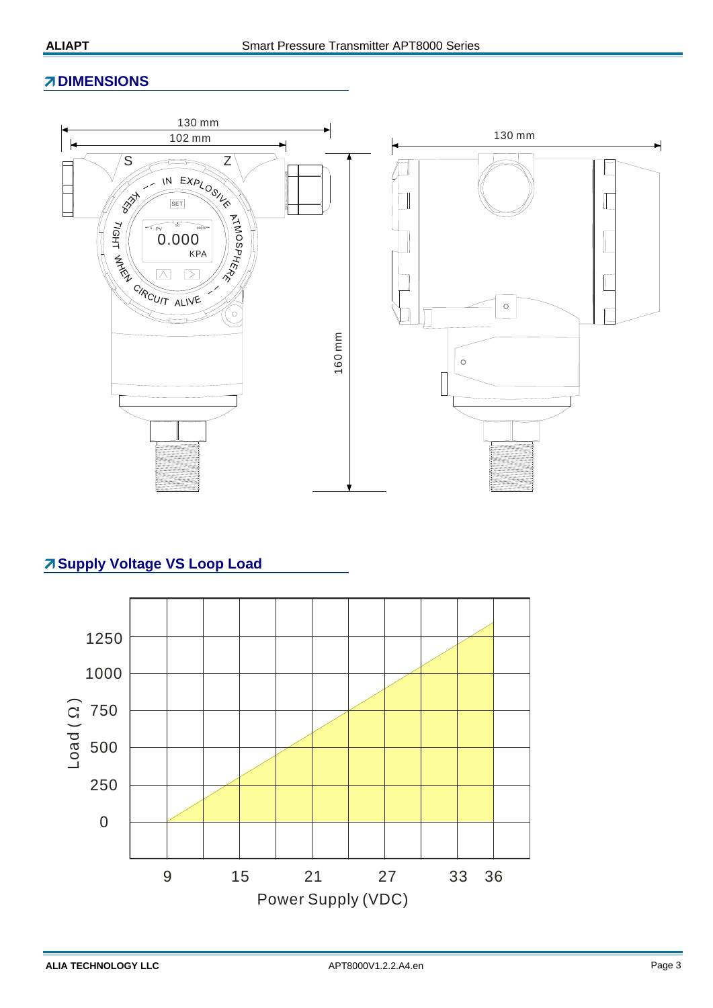### **ZIDIMENSIONS**



## **A Supply Voltage VS Loop Load**